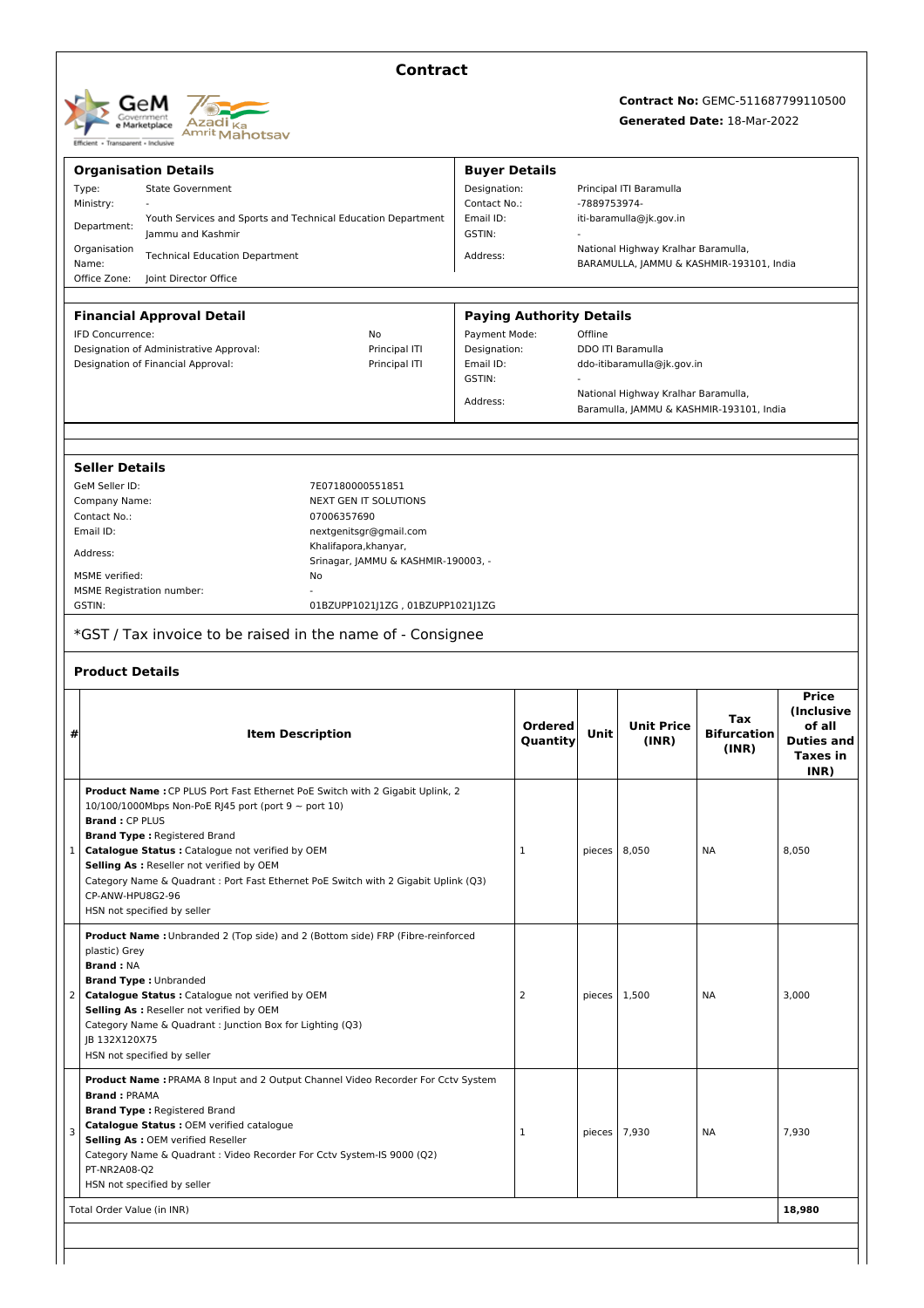| Azadi <sub>Ka</sub><br>Amrit Mahotsav |
|---------------------------------------|
|                                       |

Č

#### **Contract**

# **Contract No:** GEMC-511687799110500

## **Generated Date:** 18-Mar-2022

|   | <b>Organisation Details</b>                                                                                                                      |                                       | <b>Buyer Details</b> |                                 |              |                                     |                                          |                         |
|---|--------------------------------------------------------------------------------------------------------------------------------------------------|---------------------------------------|----------------------|---------------------------------|--------------|-------------------------------------|------------------------------------------|-------------------------|
|   | Type:<br><b>State Government</b>                                                                                                                 |                                       | Designation:         |                                 |              | Principal ITI Baramulla             |                                          |                         |
|   | Ministry:                                                                                                                                        |                                       | Contact No.:         |                                 | -7889753974- |                                     |                                          |                         |
|   | Youth Services and Sports and Technical Education Department<br>Department:                                                                      |                                       | Email ID:            |                                 |              | iti-baramulla@jk.gov.in             |                                          |                         |
|   | Jammu and Kashmir                                                                                                                                |                                       | GSTIN:               |                                 |              | National Highway Kralhar Baramulla, |                                          |                         |
|   | Organisation<br><b>Technical Education Department</b><br>Name:                                                                                   |                                       | Address:             |                                 |              |                                     | BARAMULLA, JAMMU & KASHMIR-193101, India |                         |
|   | Office Zone:<br>Joint Director Office                                                                                                            |                                       |                      |                                 |              |                                     |                                          |                         |
|   |                                                                                                                                                  |                                       |                      |                                 |              |                                     |                                          |                         |
|   | <b>Financial Approval Detail</b>                                                                                                                 |                                       |                      | <b>Paying Authority Details</b> |              |                                     |                                          |                         |
|   | IFD Concurrence:                                                                                                                                 | No                                    | Payment Mode:        |                                 | Offline      |                                     |                                          |                         |
|   | Designation of Administrative Approval:                                                                                                          | Principal ITI                         | Designation:         |                                 |              | <b>DDO ITI Baramulla</b>            |                                          |                         |
|   | Designation of Financial Approval:                                                                                                               | Principal ITI                         | Email ID:<br>GSTIN:  |                                 |              | ddo-itibaramulla@jk.gov.in          |                                          |                         |
|   |                                                                                                                                                  |                                       |                      |                                 |              | National Highway Kralhar Baramulla, |                                          |                         |
|   |                                                                                                                                                  |                                       | Address:             |                                 |              |                                     | Baramulla, JAMMU & KASHMIR-193101, India |                         |
|   |                                                                                                                                                  |                                       |                      |                                 |              |                                     |                                          |                         |
|   |                                                                                                                                                  |                                       |                      |                                 |              |                                     |                                          |                         |
|   | <b>Seller Details</b>                                                                                                                            |                                       |                      |                                 |              |                                     |                                          |                         |
|   | GeM Seller ID:                                                                                                                                   | 7E07180000551851                      |                      |                                 |              |                                     |                                          |                         |
|   | Company Name:                                                                                                                                    | NEXT GEN IT SOLUTIONS                 |                      |                                 |              |                                     |                                          |                         |
|   | Contact No.:<br>Email ID:                                                                                                                        | 07006357690<br>nextgenitsgr@gmail.com |                      |                                 |              |                                     |                                          |                         |
|   |                                                                                                                                                  | Khalifapora, khanyar,                 |                      |                                 |              |                                     |                                          |                         |
|   | Address:                                                                                                                                         | Srinagar, JAMMU & KASHMIR-190003, -   |                      |                                 |              |                                     |                                          |                         |
|   | MSME verified:                                                                                                                                   | No                                    |                      |                                 |              |                                     |                                          |                         |
|   | MSME Registration number:                                                                                                                        |                                       |                      |                                 |              |                                     |                                          |                         |
|   | GSTIN:                                                                                                                                           | 01BZUPP1021J1ZG, 01BZUPP1021J1ZG      |                      |                                 |              |                                     |                                          |                         |
|   | *GST / Tax invoice to be raised in the name of - Consignee                                                                                       |                                       |                      |                                 |              |                                     |                                          |                         |
|   |                                                                                                                                                  |                                       |                      |                                 |              |                                     |                                          |                         |
|   | <b>Product Details</b>                                                                                                                           |                                       |                      |                                 |              |                                     |                                          |                         |
|   |                                                                                                                                                  |                                       |                      |                                 |              |                                     |                                          | <b>Price</b>            |
|   |                                                                                                                                                  |                                       |                      |                                 |              |                                     |                                          |                         |
|   |                                                                                                                                                  |                                       |                      |                                 |              |                                     | Tax                                      | (Inclusive              |
| # |                                                                                                                                                  | <b>Item Description</b>               |                      | Ordered                         | Unit         | <b>Unit Price</b>                   | <b>Bifurcation</b>                       | of all                  |
|   |                                                                                                                                                  |                                       |                      | Quantity                        |              | (INR)                               | (INR)                                    | <b>Duties and</b>       |
|   |                                                                                                                                                  |                                       |                      |                                 |              |                                     |                                          | <b>Taxes in</b><br>INR) |
|   |                                                                                                                                                  |                                       |                      |                                 |              |                                     |                                          |                         |
|   | <b>Product Name: CP PLUS Port Fast Ethernet PoE Switch with 2 Gigabit Uplink, 2</b><br>10/100/1000Mbps Non-PoE RJ45 port (port $9 \sim$ port 10) |                                       |                      |                                 |              |                                     |                                          |                         |
|   | <b>Brand: CP PLUS</b>                                                                                                                            |                                       |                      |                                 |              |                                     |                                          |                         |
|   | <b>Brand Type: Registered Brand</b>                                                                                                              |                                       |                      |                                 |              |                                     |                                          |                         |
| ı | Catalogue Status : Catalogue not verified by OEM                                                                                                 |                                       |                      | 1                               | pieces 8,050 |                                     | ΝA                                       | 8,050                   |
|   | Selling As : Reseller not verified by OEM                                                                                                        |                                       |                      |                                 |              |                                     |                                          |                         |
|   | Category Name & Quadrant : Port Fast Ethernet PoE Switch with 2 Gigabit Uplink (Q3)                                                              |                                       |                      |                                 |              |                                     |                                          |                         |
|   | CP-ANW-HPU8G2-96                                                                                                                                 |                                       |                      |                                 |              |                                     |                                          |                         |
|   | HSN not specified by seller                                                                                                                      |                                       |                      |                                 |              |                                     |                                          |                         |
|   | <b>Product Name: Unbranded 2 (Top side) and 2 (Bottom side) FRP (Fibre-reinforced</b>                                                            |                                       |                      |                                 |              |                                     |                                          |                         |
|   | plastic) Grey                                                                                                                                    |                                       |                      |                                 |              |                                     |                                          |                         |
|   | <b>Brand: NA</b>                                                                                                                                 |                                       |                      |                                 |              |                                     |                                          |                         |
| 2 | <b>Brand Type: Unbranded</b>                                                                                                                     |                                       |                      |                                 |              |                                     | <b>NA</b>                                | 3,000                   |
|   | Catalogue Status : Catalogue not verified by OEM<br>Selling As : Reseller not verified by OEM                                                    |                                       |                      | 2                               | pieces 1,500 |                                     |                                          |                         |
|   | Category Name & Quadrant : Junction Box for Lighting (Q3)                                                                                        |                                       |                      |                                 |              |                                     |                                          |                         |
|   | JB 132X120X75                                                                                                                                    |                                       |                      |                                 |              |                                     |                                          |                         |
|   | HSN not specified by seller                                                                                                                      |                                       |                      |                                 |              |                                     |                                          |                         |
|   | Product Name: PRAMA 8 Input and 2 Output Channel Video Recorder For Cctv System                                                                  |                                       |                      |                                 |              |                                     |                                          |                         |
|   | <b>Brand: PRAMA</b>                                                                                                                              |                                       |                      |                                 |              |                                     |                                          |                         |
|   | <b>Brand Type: Registered Brand</b>                                                                                                              |                                       |                      |                                 |              |                                     |                                          |                         |
| З | Catalogue Status : OEM verified catalogue                                                                                                        |                                       |                      | $\mathbf{1}$                    | pieces 7,930 |                                     | <b>NA</b>                                | 7,930                   |
|   | Selling As : OEM verified Reseller                                                                                                               |                                       |                      |                                 |              |                                     |                                          |                         |
|   | Category Name & Quadrant : Video Recorder For Cctv System-IS 9000 (Q2)<br>PT-NR2A08-Q2                                                           |                                       |                      |                                 |              |                                     |                                          |                         |
|   | HSN not specified by seller                                                                                                                      |                                       |                      |                                 |              |                                     |                                          |                         |
|   |                                                                                                                                                  |                                       |                      |                                 |              |                                     |                                          |                         |
|   | Total Order Value (in INR)                                                                                                                       |                                       |                      |                                 |              |                                     |                                          | 18,980                  |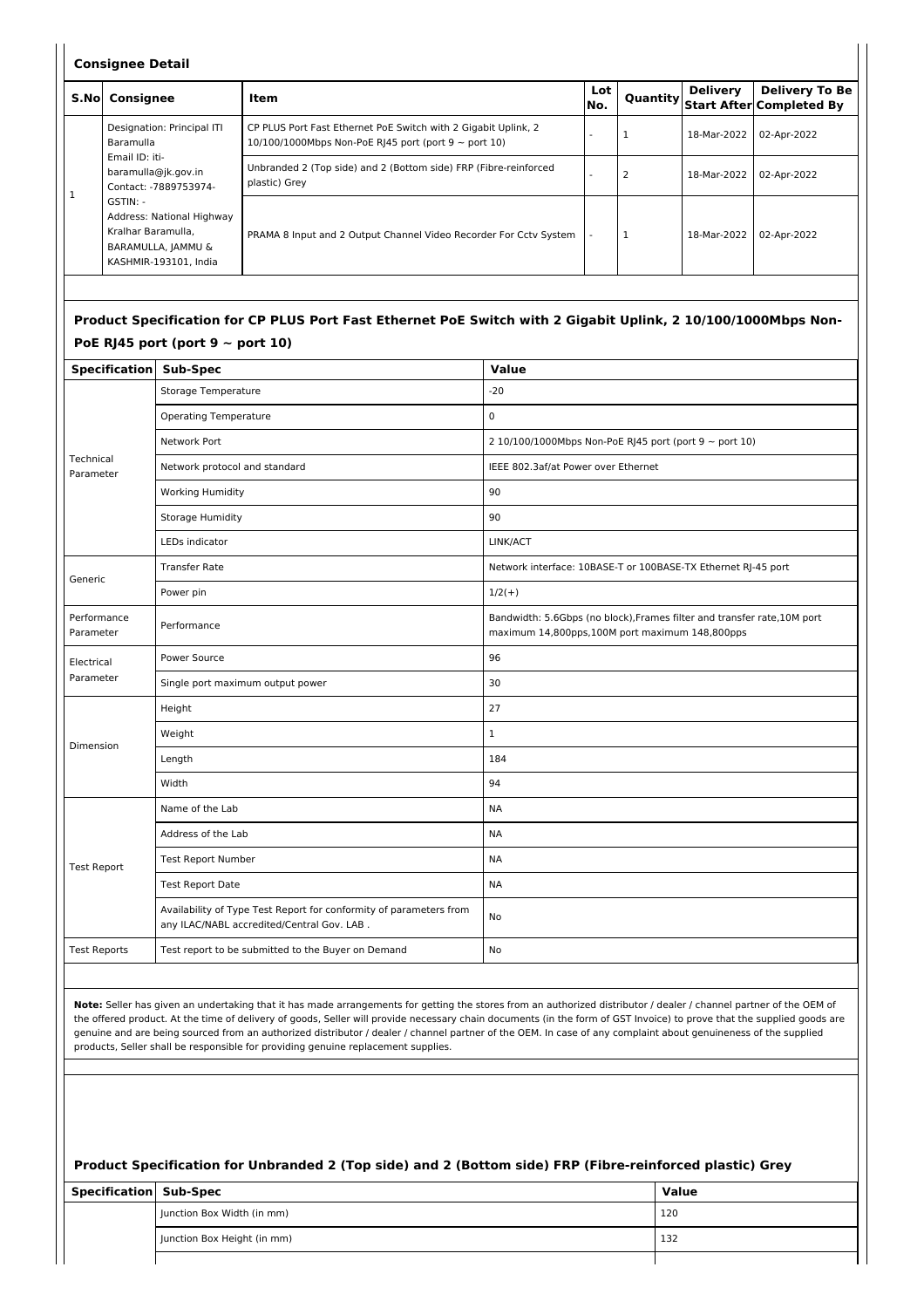| S.No                                                               | Consignee                               | Item                                                                                          |                                                                                                                                                                                                                                                                                                                                                                                                                                                                                                                                                                                                     |                                                                                                                            | Lot<br>No. | Quantity       | <b>Delivery</b> | <b>Delivery To Be</b><br><b>Start After Completed By</b> |  |
|--------------------------------------------------------------------|-----------------------------------------|-----------------------------------------------------------------------------------------------|-----------------------------------------------------------------------------------------------------------------------------------------------------------------------------------------------------------------------------------------------------------------------------------------------------------------------------------------------------------------------------------------------------------------------------------------------------------------------------------------------------------------------------------------------------------------------------------------------------|----------------------------------------------------------------------------------------------------------------------------|------------|----------------|-----------------|----------------------------------------------------------|--|
| Baramulla<br>Email ID: iti-<br>1<br>GSTIN: -<br>Kralhar Baramulla, |                                         | Designation: Principal ITI                                                                    | CP PLUS Port Fast Ethernet PoE Switch with 2 Gigabit Uplink, 2<br>10/100/1000Mbps Non-PoE RJ45 port (port $9 \sim$ port 10)                                                                                                                                                                                                                                                                                                                                                                                                                                                                         |                                                                                                                            |            | 1              | 18-Mar-2022     | 02-Apr-2022                                              |  |
|                                                                    |                                         | baramulla@jk.gov.in<br>Contact: -7889753974-                                                  | Unbranded 2 (Top side) and 2 (Bottom side) FRP (Fibre-reinforced<br>plastic) Grey                                                                                                                                                                                                                                                                                                                                                                                                                                                                                                                   |                                                                                                                            |            | $\overline{2}$ | 18-Mar-2022     | 02-Apr-2022                                              |  |
|                                                                    |                                         | Address: National Highway<br>BARAMULLA, JAMMU &<br>KASHMIR-193101, India                      | PRAMA 8 Input and 2 Output Channel Video Recorder For Cctv System                                                                                                                                                                                                                                                                                                                                                                                                                                                                                                                                   |                                                                                                                            | 1          | 18-Mar-2022    | 02-Apr-2022     |                                                          |  |
|                                                                    |                                         | PoE RJ45 port (port $9 \sim$ port 10)                                                         | Product Specification for CP PLUS Port Fast Ethernet PoE Switch with 2 Gigabit Uplink, 2 10/100/1000Mbps Non-                                                                                                                                                                                                                                                                                                                                                                                                                                                                                       |                                                                                                                            |            |                |                 |                                                          |  |
|                                                                    | <b>Specification</b>                    | Sub-Spec                                                                                      |                                                                                                                                                                                                                                                                                                                                                                                                                                                                                                                                                                                                     | <b>Value</b>                                                                                                               |            |                |                 |                                                          |  |
|                                                                    |                                         | Storage Temperature                                                                           |                                                                                                                                                                                                                                                                                                                                                                                                                                                                                                                                                                                                     | $-20$                                                                                                                      |            |                |                 |                                                          |  |
|                                                                    |                                         | <b>Operating Temperature</b>                                                                  |                                                                                                                                                                                                                                                                                                                                                                                                                                                                                                                                                                                                     | 0                                                                                                                          |            |                |                 |                                                          |  |
|                                                                    |                                         | Network Port                                                                                  |                                                                                                                                                                                                                                                                                                                                                                                                                                                                                                                                                                                                     |                                                                                                                            |            |                |                 |                                                          |  |
| Technical                                                          |                                         |                                                                                               |                                                                                                                                                                                                                                                                                                                                                                                                                                                                                                                                                                                                     | 2 10/100/1000Mbps Non-PoE RJ45 port (port $9 \sim$ port 10)                                                                |            |                |                 |                                                          |  |
| Parameter                                                          |                                         | Network protocol and standard                                                                 |                                                                                                                                                                                                                                                                                                                                                                                                                                                                                                                                                                                                     | IEEE 802.3af/at Power over Ethernet                                                                                        |            |                |                 |                                                          |  |
|                                                                    |                                         | <b>Working Humidity</b>                                                                       |                                                                                                                                                                                                                                                                                                                                                                                                                                                                                                                                                                                                     | 90                                                                                                                         |            |                |                 |                                                          |  |
|                                                                    |                                         | <b>Storage Humidity</b>                                                                       |                                                                                                                                                                                                                                                                                                                                                                                                                                                                                                                                                                                                     | 90                                                                                                                         |            |                |                 |                                                          |  |
|                                                                    |                                         | LEDs indicator                                                                                |                                                                                                                                                                                                                                                                                                                                                                                                                                                                                                                                                                                                     | LINK/ACT                                                                                                                   |            |                |                 |                                                          |  |
| Generic                                                            |                                         | <b>Transfer Rate</b>                                                                          |                                                                                                                                                                                                                                                                                                                                                                                                                                                                                                                                                                                                     | Network interface: 10BASE-T or 100BASE-TX Ethernet RJ-45 port                                                              |            |                |                 |                                                          |  |
|                                                                    |                                         | Power pin                                                                                     |                                                                                                                                                                                                                                                                                                                                                                                                                                                                                                                                                                                                     | $1/2(+)$                                                                                                                   |            |                |                 |                                                          |  |
|                                                                    | Performance<br>Performance<br>Parameter |                                                                                               |                                                                                                                                                                                                                                                                                                                                                                                                                                                                                                                                                                                                     | Bandwidth: 5.6Gbps (no block), Frames filter and transfer rate, 10M port<br>maximum 14,800pps,100M port maximum 148,800pps |            |                |                 |                                                          |  |
| Electrical                                                         |                                         | Power Source                                                                                  |                                                                                                                                                                                                                                                                                                                                                                                                                                                                                                                                                                                                     | 96                                                                                                                         |            |                |                 |                                                          |  |
| Parameter                                                          |                                         |                                                                                               | Single port maximum output power                                                                                                                                                                                                                                                                                                                                                                                                                                                                                                                                                                    | 30                                                                                                                         |            |                |                 |                                                          |  |
|                                                                    |                                         | Height                                                                                        |                                                                                                                                                                                                                                                                                                                                                                                                                                                                                                                                                                                                     | 27                                                                                                                         |            |                |                 |                                                          |  |
|                                                                    |                                         | Weight                                                                                        |                                                                                                                                                                                                                                                                                                                                                                                                                                                                                                                                                                                                     | 1                                                                                                                          |            |                |                 |                                                          |  |
| Dimension                                                          |                                         | Length                                                                                        |                                                                                                                                                                                                                                                                                                                                                                                                                                                                                                                                                                                                     | 184                                                                                                                        |            |                |                 |                                                          |  |
|                                                                    |                                         | Width                                                                                         |                                                                                                                                                                                                                                                                                                                                                                                                                                                                                                                                                                                                     | 94                                                                                                                         |            |                |                 |                                                          |  |
|                                                                    |                                         | Name of the Lab                                                                               |                                                                                                                                                                                                                                                                                                                                                                                                                                                                                                                                                                                                     | <b>NA</b>                                                                                                                  |            |                |                 |                                                          |  |
|                                                                    |                                         | Address of the Lab                                                                            |                                                                                                                                                                                                                                                                                                                                                                                                                                                                                                                                                                                                     | <b>NA</b>                                                                                                                  |            |                |                 |                                                          |  |
|                                                                    |                                         |                                                                                               |                                                                                                                                                                                                                                                                                                                                                                                                                                                                                                                                                                                                     | <b>NA</b>                                                                                                                  |            |                |                 |                                                          |  |
| <b>Test Report</b>                                                 |                                         | Test Report Number                                                                            |                                                                                                                                                                                                                                                                                                                                                                                                                                                                                                                                                                                                     |                                                                                                                            |            |                |                 |                                                          |  |
|                                                                    |                                         | <b>Test Report Date</b><br>Availability of Type Test Report for conformity of parameters from | <b>NA</b><br>No                                                                                                                                                                                                                                                                                                                                                                                                                                                                                                                                                                                     |                                                                                                                            |            |                |                 |                                                          |  |
| <b>Test Reports</b>                                                |                                         |                                                                                               | any ILAC/NABL accredited/Central Gov. LAB.<br>Test report to be submitted to the Buyer on Demand                                                                                                                                                                                                                                                                                                                                                                                                                                                                                                    | No                                                                                                                         |            |                |                 |                                                          |  |
|                                                                    |                                         |                                                                                               |                                                                                                                                                                                                                                                                                                                                                                                                                                                                                                                                                                                                     |                                                                                                                            |            |                |                 |                                                          |  |
|                                                                    |                                         |                                                                                               | Note: Seller has given an undertaking that it has made arrangements for getting the stores from an authorized distributor / dealer / channel partner of the OEM of<br>the offered product. At the time of delivery of goods, Seller will provide necessary chain documents (in the form of GST Invoice) to prove that the supplied goods are<br>genuine and are being sourced from an authorized distributor / dealer / channel partner of the OEM. In case of any complaint about genuineness of the supplied<br>products, Seller shall be responsible for providing genuine replacement supplies. |                                                                                                                            |            |                |                 |                                                          |  |
|                                                                    |                                         |                                                                                               | Product Specification for Unbranded 2 (Top side) and 2 (Bottom side) FRP (Fibre-reinforced plastic) Grey                                                                                                                                                                                                                                                                                                                                                                                                                                                                                            |                                                                                                                            |            |                |                 |                                                          |  |
|                                                                    | <b>Specification</b>                    | Sub-Spec                                                                                      |                                                                                                                                                                                                                                                                                                                                                                                                                                                                                                                                                                                                     |                                                                                                                            |            | <b>Value</b>   |                 |                                                          |  |
|                                                                    |                                         | Junction Box Width (in mm)                                                                    |                                                                                                                                                                                                                                                                                                                                                                                                                                                                                                                                                                                                     |                                                                                                                            |            | 120            |                 |                                                          |  |

Junction Box Height (in mm) 132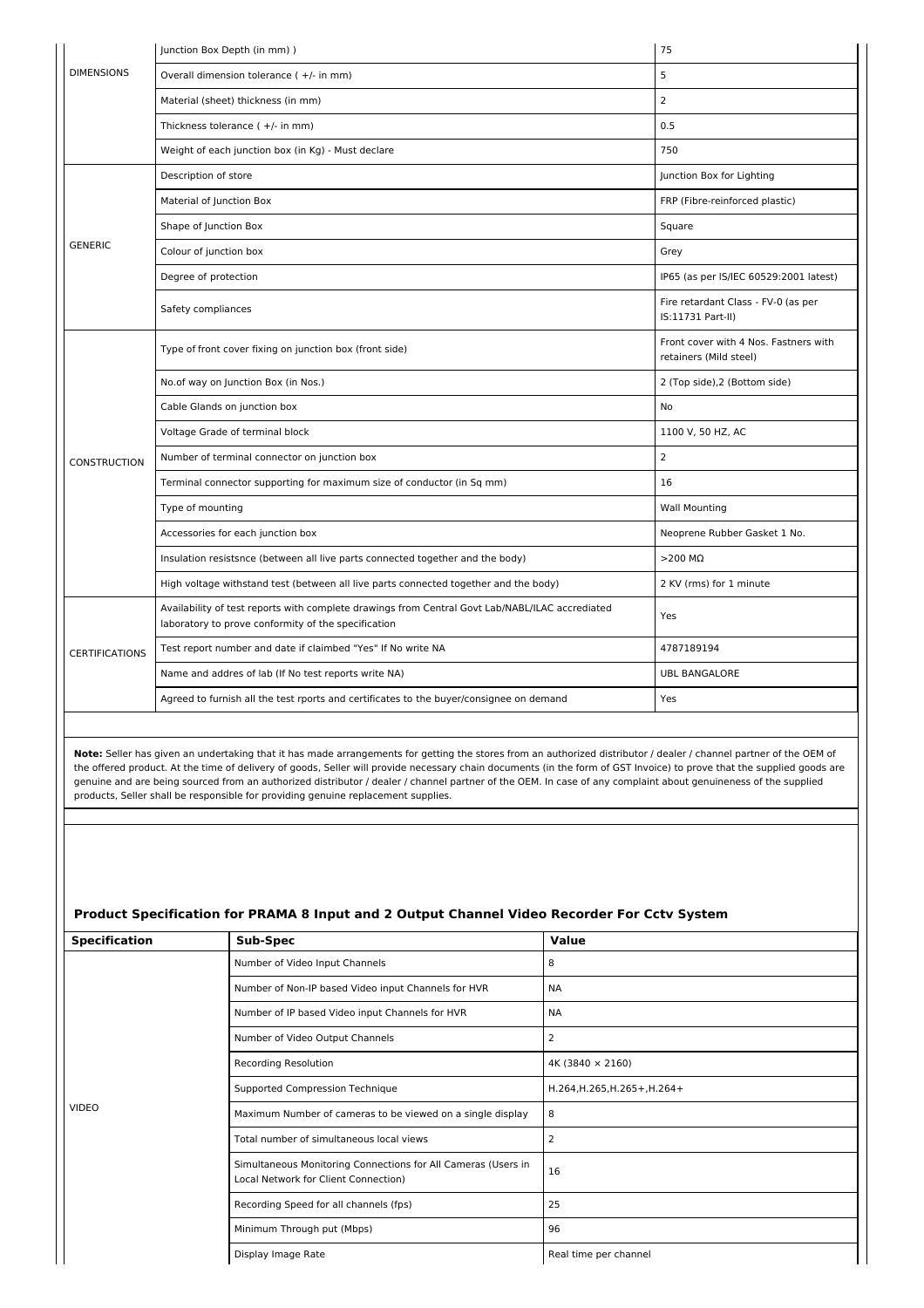|                       | Junction Box Depth (in mm) )                                                                                                                           | 75                                                              |
|-----------------------|--------------------------------------------------------------------------------------------------------------------------------------------------------|-----------------------------------------------------------------|
| <b>DIMENSIONS</b>     | Overall dimension tolerance (+/- in mm)                                                                                                                | 5                                                               |
|                       | Material (sheet) thickness (in mm)                                                                                                                     | $\overline{2}$                                                  |
|                       | Thickness tolerance (+/- in mm)                                                                                                                        | 0.5                                                             |
|                       | Weight of each junction box (in Kg) - Must declare                                                                                                     | 750                                                             |
|                       | Description of store                                                                                                                                   | Junction Box for Lighting                                       |
|                       | Material of Junction Box                                                                                                                               | FRP (Fibre-reinforced plastic)                                  |
|                       | Shape of Junction Box                                                                                                                                  | Square                                                          |
| <b>GENERIC</b>        | Colour of junction box                                                                                                                                 | Grey                                                            |
|                       | Degree of protection                                                                                                                                   | IP65 (as per IS/IEC 60529:2001 latest)                          |
|                       | Safety compliances                                                                                                                                     | Fire retardant Class - FV-0 (as per<br>IS:11731 Part-II)        |
|                       | Type of front cover fixing on junction box (front side)                                                                                                | Front cover with 4 Nos. Fastners with<br>retainers (Mild steel) |
|                       | No.of way on Junction Box (in Nos.)                                                                                                                    | 2 (Top side), 2 (Bottom side)                                   |
|                       | Cable Glands on junction box                                                                                                                           | No                                                              |
|                       | Voltage Grade of terminal block                                                                                                                        | 1100 V, 50 HZ, AC                                               |
| <b>CONSTRUCTION</b>   | Number of terminal connector on junction box                                                                                                           | $\overline{2}$                                                  |
|                       | Terminal connector supporting for maximum size of conductor (in Sq mm)                                                                                 | 16                                                              |
|                       | Type of mounting                                                                                                                                       | <b>Wall Mounting</b>                                            |
|                       | Accessories for each junction box                                                                                                                      | Neoprene Rubber Gasket 1 No.                                    |
|                       | Insulation resistsnce (between all live parts connected together and the body)                                                                         | $>$ 200 M $\Omega$                                              |
|                       | High voltage withstand test (between all live parts connected together and the body)                                                                   | 2 KV (rms) for 1 minute                                         |
|                       | Availability of test reports with complete drawings from Central Govt Lab/NABL/ILAC accrediated<br>laboratory to prove conformity of the specification | Yes                                                             |
| <b>CERTIFICATIONS</b> | Test report number and date if claimbed "Yes" If No write NA                                                                                           | 4787189194                                                      |
|                       | Name and addres of lab (If No test reports write NA)                                                                                                   | <b>UBL BANGALORE</b>                                            |
|                       | Agreed to furnish all the test rports and certificates to the buyer/consignee on demand                                                                | Yes                                                             |

**Note:** Seller has given an undertaking that it has made arrangements for getting the stores from an authorized distributor / dealer / channel partner of the OEM of the offered product. At the time of delivery of goods, Seller will provide necessary chain documents (in the form of GST Invoice) to prove that the supplied goods are genuine and are being sourced from an authorized distributor / dealer / channel partner of the OEM. In case of any complaint about genuineness of the supplied products, Seller shall be responsible for providing genuine replacement supplies.

#### **Product Specification for PRAMA 8 Input and 2 Output Channel Video Recorder For Cctv System**

| <b>Specification</b> | Sub-Spec                                                                                              | <b>Value</b>                 |
|----------------------|-------------------------------------------------------------------------------------------------------|------------------------------|
|                      | Number of Video Input Channels                                                                        | 8                            |
|                      | Number of Non-IP based Video input Channels for HVR                                                   | <b>NA</b>                    |
|                      | Number of IP based Video input Channels for HVR                                                       | <b>NA</b>                    |
|                      | Number of Video Output Channels                                                                       | 2                            |
|                      | <b>Recording Resolution</b>                                                                           | 4K (3840 × 2160)             |
|                      | Supported Compression Technique                                                                       | H.264, H.265, H.265+, H.264+ |
| <b>VIDEO</b>         | Maximum Number of cameras to be viewed on a single display                                            | 8                            |
|                      | Total number of simultaneous local views                                                              | $\overline{2}$               |
|                      | Simultaneous Monitoring Connections for All Cameras (Users in<br>Local Network for Client Connection) | 16                           |
|                      | Recording Speed for all channels (fps)                                                                | 25                           |
|                      | Minimum Through put (Mbps)                                                                            | 96                           |
|                      | Display Image Rate                                                                                    | Real time per channel        |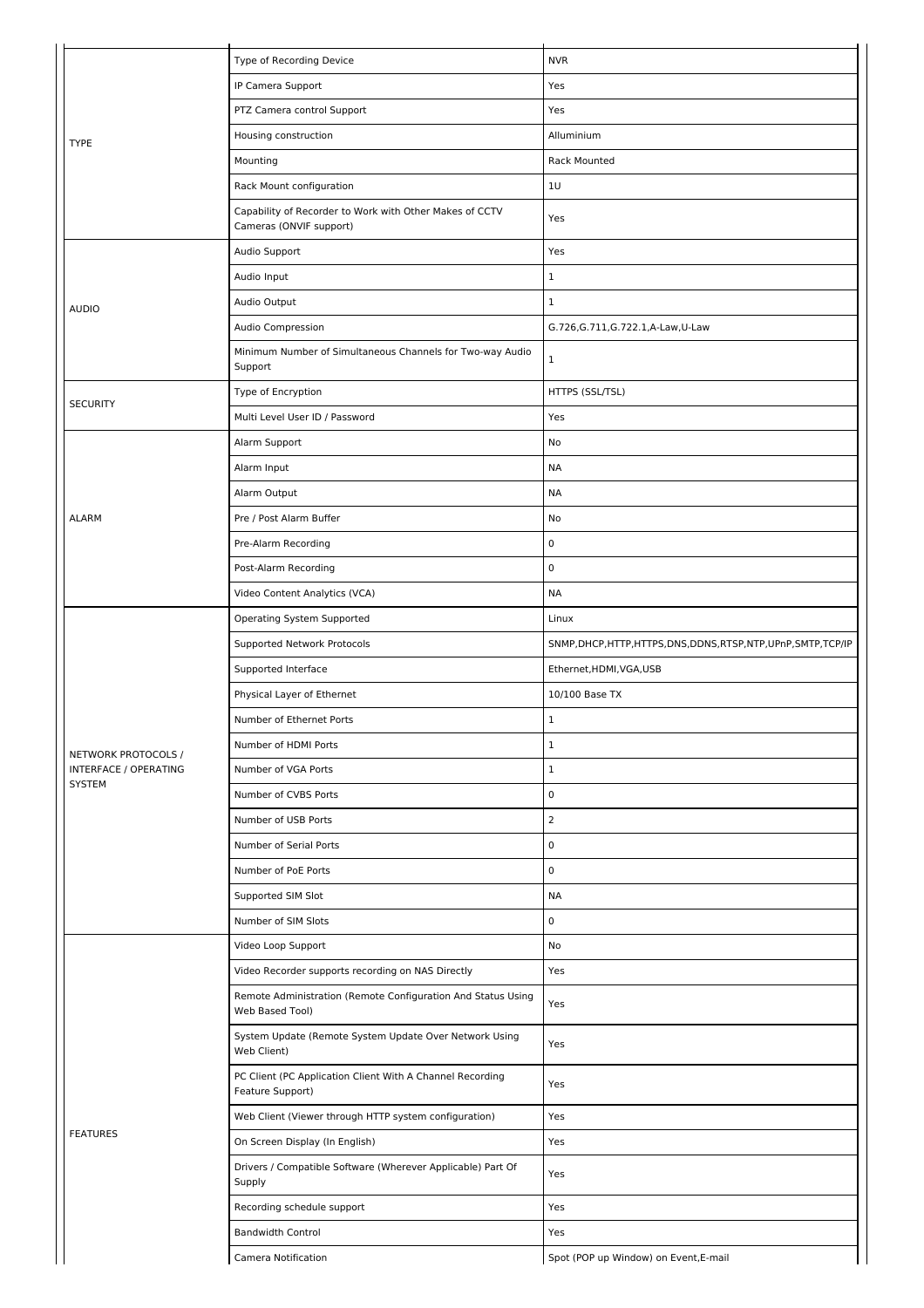|                       | Type of Recording Device                                                           | <b>NVR</b>                                                        |
|-----------------------|------------------------------------------------------------------------------------|-------------------------------------------------------------------|
|                       | IP Camera Support                                                                  | Yes                                                               |
|                       | PTZ Camera control Support                                                         | Yes                                                               |
| <b>TYPE</b>           | Housing construction                                                               | Alluminium                                                        |
|                       | Mounting                                                                           | Rack Mounted                                                      |
|                       | Rack Mount configuration                                                           | 10                                                                |
|                       | Capability of Recorder to Work with Other Makes of CCTV<br>Cameras (ONVIF support) | Yes                                                               |
|                       | Audio Support                                                                      | Yes                                                               |
|                       | Audio Input                                                                        | $\mathbf{1}$                                                      |
| <b>AUDIO</b>          | Audio Output                                                                       | $\mathbf{1}$                                                      |
|                       | Audio Compression                                                                  | G.726, G.711, G.722.1, A-Law, U-Law                               |
|                       | Minimum Number of Simultaneous Channels for Two-way Audio<br>Support               | $\mathbf{1}$                                                      |
| <b>SECURITY</b>       | Type of Encryption                                                                 | HTTPS (SSL/TSL)                                                   |
|                       | Multi Level User ID / Password                                                     | Yes                                                               |
|                       | Alarm Support                                                                      | No                                                                |
|                       | Alarm Input                                                                        | <b>NA</b>                                                         |
|                       | Alarm Output                                                                       | <b>NA</b>                                                         |
| <b>ALARM</b>          | Pre / Post Alarm Buffer                                                            | No                                                                |
|                       | Pre-Alarm Recording                                                                | 0                                                                 |
|                       | Post-Alarm Recording                                                               | 0                                                                 |
|                       | Video Content Analytics (VCA)                                                      | <b>NA</b>                                                         |
|                       | Operating System Supported                                                         | Linux                                                             |
|                       | Supported Network Protocols                                                        | SNMP, DHCP, HTTP, HTTPS, DNS, DDNS, RTSP, NTP, UPnP, SMTP, TCP/IP |
|                       | Supported Interface                                                                | Ethernet, HDMI, VGA, USB                                          |
|                       | Physical Layer of Ethernet                                                         | 10/100 Base TX                                                    |
|                       | Number of Ethernet Ports                                                           | $\mathbf{1}$                                                      |
| NETWORK PROTOCOLS /   | Number of HDMI Ports                                                               | $1\,$                                                             |
| INTERFACE / OPERATING | Number of VGA Ports                                                                | $\mathbf 1$                                                       |
| <b>SYSTEM</b>         | Number of CVBS Ports                                                               | 0                                                                 |
|                       | Number of USB Ports                                                                | $\overline{2}$                                                    |
|                       | Number of Serial Ports                                                             | $\pmb{0}$                                                         |
|                       | Number of PoE Ports                                                                | 0                                                                 |
|                       | Supported SIM Slot                                                                 | <b>NA</b>                                                         |
|                       | Number of SIM Slots                                                                | 0                                                                 |
|                       | Video Loop Support                                                                 | No                                                                |
|                       | Video Recorder supports recording on NAS Directly                                  | Yes                                                               |
|                       | Remote Administration (Remote Configuration And Status Using<br>Web Based Tool)    | Yes                                                               |
|                       | System Update (Remote System Update Over Network Using<br>Web Client)              | Yes                                                               |
|                       | PC Client (PC Application Client With A Channel Recording<br>Feature Support)      | Yes                                                               |
|                       | Web Client (Viewer through HTTP system configuration)                              | Yes                                                               |
| <b>FEATURES</b>       | On Screen Display (In English)                                                     | Yes                                                               |
|                       | Drivers / Compatible Software (Wherever Applicable) Part Of<br>Supply              | Yes                                                               |
|                       | Recording schedule support                                                         | Yes                                                               |
|                       | <b>Bandwidth Control</b>                                                           | Yes                                                               |
|                       | Camera Notification                                                                | Spot (POP up Window) on Event, E-mail                             |
|                       |                                                                                    |                                                                   |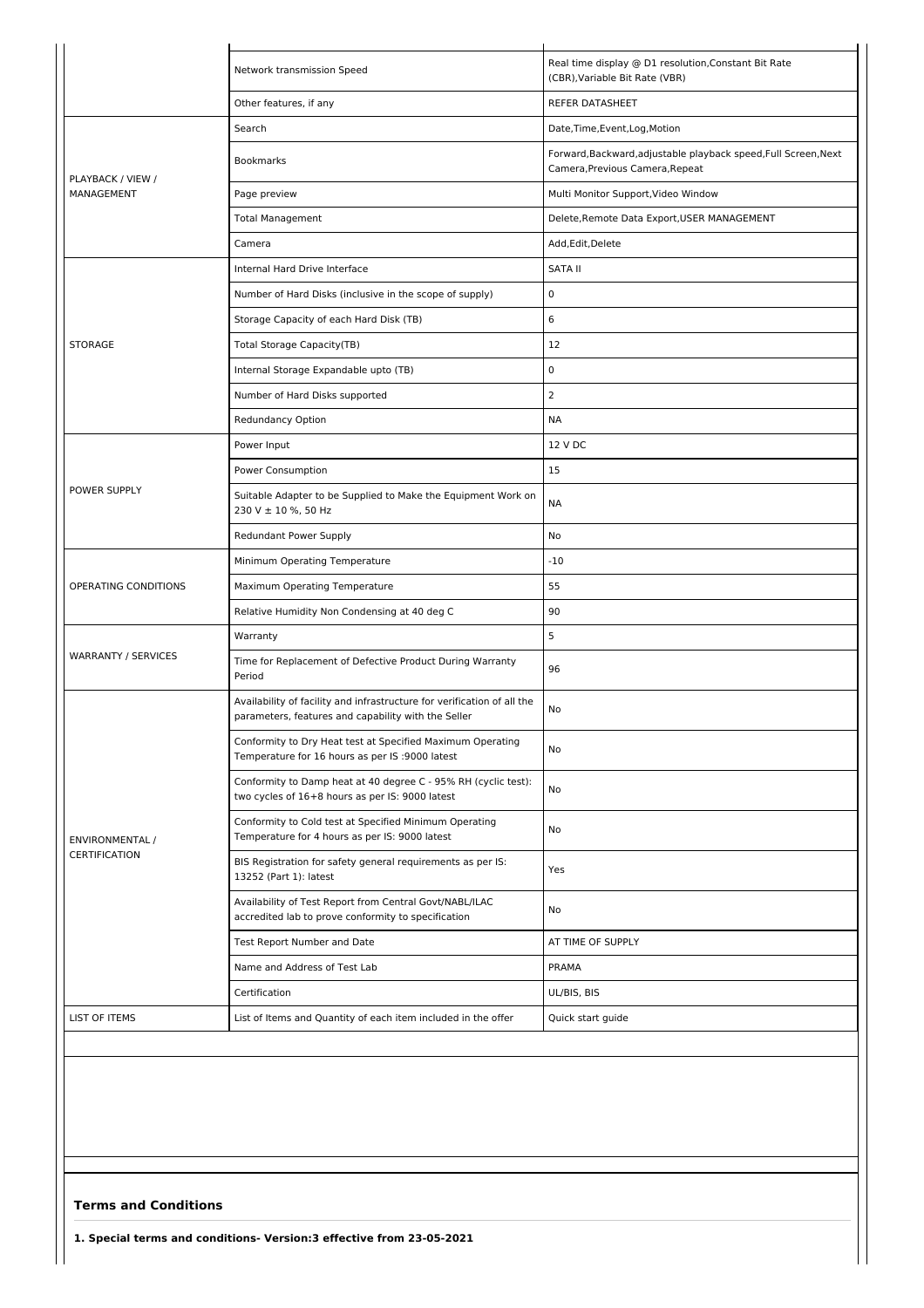|                                 | Network transmission Speed                                                                                                     | Real time display @ D1 resolution, Constant Bit Rate<br>(CBR), Variable Bit Rate (VBR)             |
|---------------------------------|--------------------------------------------------------------------------------------------------------------------------------|----------------------------------------------------------------------------------------------------|
|                                 | Other features, if any                                                                                                         | <b>REFER DATASHEET</b>                                                                             |
|                                 | Search                                                                                                                         | Date, Time, Event, Log, Motion                                                                     |
|                                 | <b>Bookmarks</b>                                                                                                               | Forward, Backward, adjustable playback speed, Full Screen, Next<br>Camera, Previous Camera, Repeat |
| PLAYBACK / VIEW /<br>MANAGEMENT | Page preview                                                                                                                   | Multi Monitor Support, Video Window                                                                |
|                                 | <b>Total Management</b>                                                                                                        | Delete, Remote Data Export, USER MANAGEMENT                                                        |
|                                 | Camera                                                                                                                         | Add, Edit, Delete                                                                                  |
|                                 | Internal Hard Drive Interface                                                                                                  | <b>SATA II</b>                                                                                     |
|                                 | Number of Hard Disks (inclusive in the scope of supply)                                                                        | $\mathbf 0$                                                                                        |
|                                 | Storage Capacity of each Hard Disk (TB)                                                                                        | 6                                                                                                  |
| <b>STORAGE</b>                  | <b>Total Storage Capacity(TB)</b>                                                                                              | 12                                                                                                 |
|                                 | Internal Storage Expandable upto (TB)                                                                                          | $\mathbf 0$                                                                                        |
|                                 | Number of Hard Disks supported                                                                                                 | $\overline{2}$                                                                                     |
|                                 | <b>Redundancy Option</b>                                                                                                       | <b>NA</b>                                                                                          |
|                                 | Power Input                                                                                                                    | 12 V DC                                                                                            |
|                                 | Power Consumption                                                                                                              | 15                                                                                                 |
| POWER SUPPLY                    | Suitable Adapter to be Supplied to Make the Equipment Work on<br>230 V ± 10 %, 50 Hz                                           | <b>NA</b>                                                                                          |
|                                 | Redundant Power Supply                                                                                                         | No                                                                                                 |
|                                 | Minimum Operating Temperature                                                                                                  | $-10$                                                                                              |
| OPERATING CONDITIONS            | Maximum Operating Temperature                                                                                                  | 55                                                                                                 |
|                                 | Relative Humidity Non Condensing at 40 deg C                                                                                   | 90                                                                                                 |
|                                 | Warranty                                                                                                                       | 5                                                                                                  |
| <b>WARRANTY / SERVICES</b>      | Time for Replacement of Defective Product During Warranty<br>Period                                                            | 96                                                                                                 |
|                                 | Availability of facility and infrastructure for verification of all the<br>parameters, features and capability with the Seller | No                                                                                                 |
|                                 | Conformity to Dry Heat test at Specified Maximum Operating<br>Temperature for 16 hours as per IS :9000 latest                  | No                                                                                                 |
| ENVIRONMENTAL /                 | Conformity to Damp heat at 40 degree C - 95% RH (cyclic test):<br>two cycles of 16+8 hours as per IS: 9000 latest              | No                                                                                                 |
|                                 | Conformity to Cold test at Specified Minimum Operating<br>Temperature for 4 hours as per IS: 9000 latest                       | No                                                                                                 |
| <b>CERTIFICATION</b>            | BIS Registration for safety general requirements as per IS:<br>13252 (Part 1): latest                                          | Yes                                                                                                |
|                                 | Availability of Test Report from Central Govt/NABL/ILAC<br>accredited lab to prove conformity to specification                 | No                                                                                                 |
|                                 | Test Report Number and Date                                                                                                    | AT TIME OF SUPPLY                                                                                  |
|                                 | Name and Address of Test Lab                                                                                                   | PRAMA                                                                                              |
|                                 | Certification                                                                                                                  | UL/BIS, BIS                                                                                        |
|                                 |                                                                                                                                |                                                                                                    |

### **Terms and Conditions**

**1. Special terms and conditions- Version:3 effective from 23-05-2021**